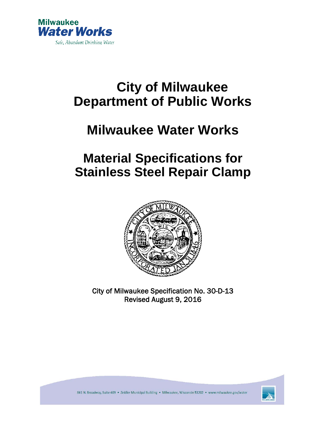

# **City of Milwaukee Department of Public Works**

# **Milwaukee Water Works**

# **Material Specifications for Stainless Steel Repair Clamp**



City of Milwaukee Specification No. 30-D-13 Revised August 9, 2016



841 N. Broadway, Suite 409 · Zeidler Municipal Building · Milwaukee, Wisconsin 53202 · www.milwaukee.gov/water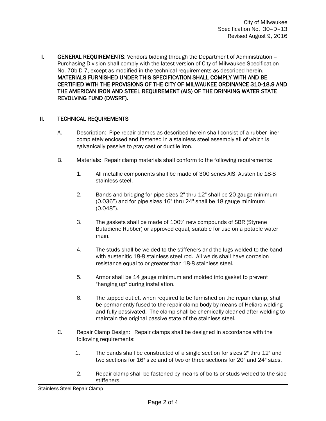I. GENERAL REQUIREMENTS: Vendors bidding through the Department of Administration – Purchasing Division shall comply with the latest version of City of Milwaukee Specification No. 70b-D-7, except as modified in the technical requirements as described herein. MATERIALS FURNISHED UNDER THIS SPECIFICATION SHALL COMPLY WITH AND BE CERTIFIED WITH THE PROVISIONS OF THE CITY OF MILWAUKEE ORDINANCE 310-18.9 AND THE AMERICAN IRON AND STEEL REQUIREMENT (AIS) OF THE DRINKING WATER STATE REVOLVING FUND (DWSRF).

### II. TECHNICAL REQUIREMENTS

- A. Description: Pipe repair clamps as described herein shall consist of a rubber liner completely enclosed and fastened in a stainless steel assembly all of which is galvanically passive to gray cast or ductile iron.
- B. Materials: Repair clamp materials shall conform to the following requirements:
	- 1. All metallic components shall be made of 300 series AISI Austenitic 18-8 stainless steel.
	- 2. Bands and bridging for pipe sizes 2" thru 12" shall be 20 gauge minimum (0.036") and for pipe sizes 16" thru 24" shall be 18 gauge minimum (0.048").
	- 3. The gaskets shall be made of 100% new compounds of SBR (Styrene Butadiene Rubber) or approved equal, suitable for use on a potable water main.
	- 4. The studs shall be welded to the stiffeners and the lugs welded to the band with austenitic 18-8 stainless steel rod. All welds shall have corrosion resistance equal to or greater than 18-8 stainless steel.
	- 5. Armor shall be 14 gauge minimum and molded into gasket to prevent "hanging up" during installation.
	- 6. The tapped outlet, when required to be furnished on the repair clamp, shall be permanently fused to the repair clamp body by means of Heliarc welding and fully passivated. The clamp shall be chemically cleaned after welding to maintain the original passive state of the stainless steel.
- C. Repair Clamp Design: Repair clamps shall be designed in accordance with the following requirements:
	- 1. The bands shall be constructed of a single section for sizes 2" thru 12" and two sections for 16" size and of two or three sections for 20" and 24" sizes.
	- 2. Repair clamp shall be fastened by means of bolts or studs welded to the side stiffeners.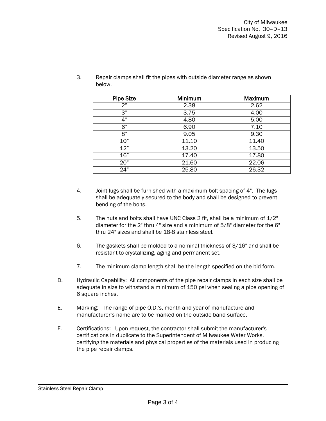| <b>Pipe Size</b> | <b>Minimum</b> | <b>Maximum</b> |
|------------------|----------------|----------------|
| 2"               | 2.38           | 2.62           |
| 3"               | 3.75           | 4.00           |
| 4"               | 4.80           | 5.00           |
| 6"               | 6.90           | 7.10           |
| 8"               | 9.05           | 9.30           |
| 10"              | 11.10          | 11.40          |
| 12"              | 13.20          | 13.50          |
| 16"              | 17.40          | 17.80          |
| 20"              | 21.60          | 22.06          |
| 24"              | 25.80          | 26.32          |

3. Repair clamps shall fit the pipes with outside diameter range as shown below.

- 4. Joint lugs shall be furnished with a maximum bolt spacing of 4". The lugs shall be adequately secured to the body and shall be designed to prevent bending of the bolts.
- 5. The nuts and bolts shall have UNC Class 2 fit, shall be a minimum of 1/2" diameter for the 2" thru 4" size and a minimum of 5/8" diameter for the 6" thru 24" sizes and shall be 18-8 stainless steel.
- 6. The gaskets shall be molded to a nominal thickness of 3/16" and shall be resistant to crystallizing, aging and permanent set.
- 7. The minimum clamp length shall be the length specified on the bid form.
- D. Hydraulic Capability: All components of the pipe repair clamps in each size shall be adequate in size to withstand a minimum of 150 psi when sealing a pipe opening of 6 square inches.
- E. Marking: The range of pipe O.D.'s, month and year of manufacture and manufacturer's name are to be marked on the outside band surface.
- F. Certifications: Upon request, the contractor shall submit the manufacturer's certifications in duplicate to the Superintendent of Milwaukee Water Works, certifying the materials and physical properties of the materials used in producing the pipe repair clamps.